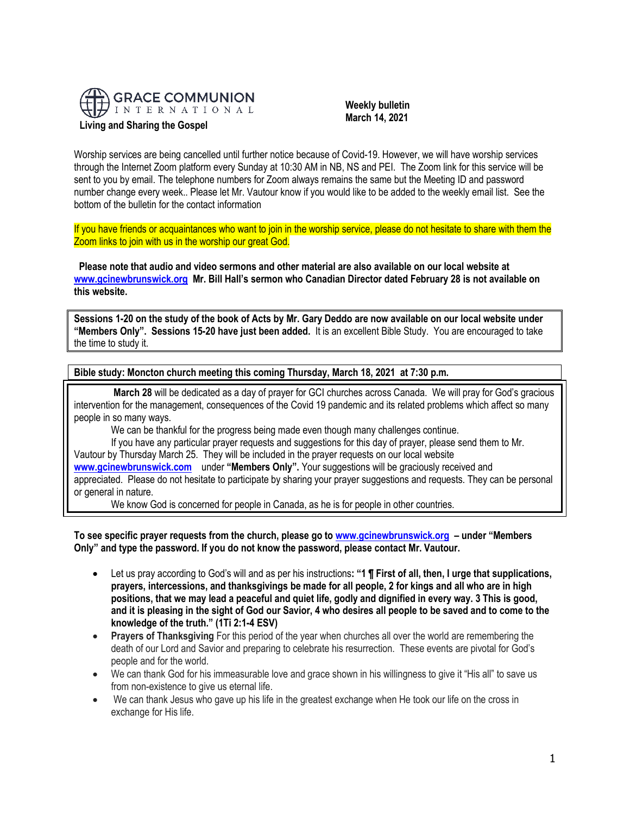

 **Weekly bulletin** 

 **March 14, 2021**

Worship services are being cancelled until further notice because of Covid-19. However, we will have worship services through the Internet Zoom platform every Sunday at 10:30 AM in NB, NS and PEI. The Zoom link for this service will be sent to you by email. The telephone numbers for Zoom always remains the same but the Meeting ID and password number change every week.. Please let Mr. Vautour know if you would like to be added to the weekly email list. See the bottom of the bulletin for the contact information

If you have friends or acquaintances who want to join in the worship service, please do not hesitate to share with them the Zoom links to join with us in the worship our great God.

**Please note that audio and video sermons and other material are also available on our local website at [www.gcinewbrunswick.org](http://www.gcinewbrunswick.org/) Mr. Bill Hall's sermon who Canadian Director dated February 28 is not available on this website.** 

**Sessions 1-20 on the study of the book of Acts by Mr. Gary Deddo are now available on our local website under "Members Only". Sessions 15-20 have just been added.** It is an excellent Bible Study. You are encouraged to take the time to study it.

**Bible study: Moncton church meeting this coming Thursday, March 18, 2021 at 7:30 p.m.** 

**March 28** will be dedicated as a day of prayer for GCI churches across Canada. We will pray for God's gracious intervention for the management, consequences of the Covid 19 pandemic and its related problems which affect so many people in so many ways.

We can be thankful for the progress being made even though many challenges continue.

If you have any particular prayer requests and suggestions for this day of prayer, please send them to Mr. Vautour by Thursday March 25. They will be included in the prayer requests on our local website **[www.gcinewbrunswick.com](http://www.gcinewbrunswick.com/)** under **"Members Only".** Your suggestions will be graciously received and appreciated. Please do not hesitate to participate by sharing your prayer suggestions and requests. They can be personal or general in nature.

We know God is concerned for people in Canada, as he is for people in other countries.

**To see specific prayer requests from the church, please go to [www.gcinewbrunswick.org](http://www.gcinewbrunswick.org/) – under "Members Only" and type the password. If you do not know the password, please contact Mr. Vautour.**

- Let us pray according to God's will and as per his instructions**: "1 ¶ First of all, then, I urge that supplications, prayers, intercessions, and thanksgivings be made for all people, 2 for kings and all who are in high positions, that we may lead a peaceful and quiet life, godly and dignified in every way. 3 This is good, and it is pleasing in the sight of God our Savior, 4 who desires all people to be saved and to come to the knowledge of the truth." (1Ti 2:1-4 ESV)**
- **Prayers of Thanksgiving** For this period of the year when churches all over the world are remembering the death of our Lord and Savior and preparing to celebrate his resurrection. These events are pivotal for God's people and for the world.
- We can thank God for his immeasurable love and grace shown in his willingness to give it "His all" to save us from non-existence to give us eternal life.
- We can thank Jesus who gave up his life in the greatest exchange when He took our life on the cross in exchange for His life.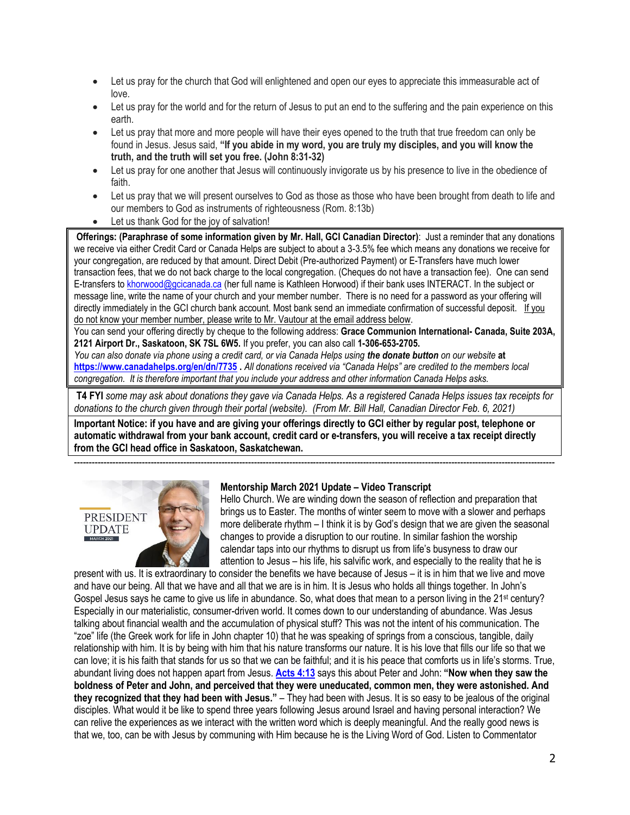- Let us pray for the church that God will enlightened and open our eyes to appreciate this immeasurable act of love.
- Let us pray for the world and for the return of Jesus to put an end to the suffering and the pain experience on this earth.
- Let us pray that more and more people will have their eyes opened to the truth that true freedom can only be found in Jesus. Jesus said, **"If you abide in my word, you are truly my disciples, and you will know the truth, and the truth will set you free. (John 8:31-32)**
- Let us pray for one another that Jesus will continuously invigorate us by his presence to live in the obedience of faith.
- Let us pray that we will present ourselves to God as those as those who have been brought from death to life and our members to God as instruments of righteousness (Rom. 8:13b)
- Let us thank God for the joy of salvation!

**Offerings: (Paraphrase of some information given by Mr. Hall, GCI Canadian Director)**: Just a reminder that any donations we receive via either Credit Card or Canada Helps are subject to about a 3-3.5% fee which means any donations we receive for your congregation, are reduced by that amount. Direct Debit (Pre-authorized Payment) or E-Transfers have much lower transaction fees, that we do not back charge to the local congregation. (Cheques do not have a transaction fee). One can send E-transfers t[o khorwood@gcicanada.ca](mailto:khorwood@gcicanada.ca) (her full name is Kathleen Horwood) if their bank uses INTERACT. In the subject or message line, write the name of your church and your member number. There is no need for a password as your offering will directly immediately in the GCI church bank account. Most bank send an immediate confirmation of successful deposit. If you do not know your member number, please write to Mr. Vautour at the email address below.

You can send your offering directly by cheque to the following address: **Grace Communion International- Canada, Suite 203A, 2121 Airport Dr., Saskatoon, SK 7SL 6W5.** If you prefer, you can also call **1-306-653-2705.** 

*You can also donate via phone using a credit card, or via Canada Helps using the donate button on our website* **at <https://www.canadahelps.org/en/dn/7735> .** *All donations received via "Canada Helps" are credited to the members local congregation. It is therefore important that you include your address and other information Canada Helps asks.*

**T4 FYI** *some may ask about donations they gave via Canada Helps. As a registered Canada Helps issues tax receipts for donations to the church given through their portal (website). (From Mr. Bill Hall, Canadian Director Feb. 6, 2021)*

**Important Notice: if you have and are giving your offerings directly to GCI either by regular post, telephone or automatic withdrawal from your bank account, credit card or e-transfers, you will receive a tax receipt directly from the GCI head office in Saskatoon, Saskatchewan.** 



## **Mentorship March 2021 Update – Video Transcript**

-------------------------------------------------------------------------------------------------------------------------------------------------------------------

Hello Church. We are winding down the season of reflection and preparation that brings us to Easter. The months of winter seem to move with a slower and perhaps more deliberate rhythm – I think it is by God's design that we are given the seasonal changes to provide a disruption to our routine. In similar fashion the worship calendar taps into our rhythms to disrupt us from life's busyness to draw our attention to Jesus – his life, his salvific work, and especially to the reality that he is

present with us. It is extraordinary to consider the benefits we have because of Jesus – it is in him that we live and move and have our being. All that we have and all that we are is in him. It is Jesus who holds all things together. In John's Gospel Jesus says he came to give us life in abundance. So, what does that mean to a person living in the 21<sup>st</sup> century? Especially in our materialistic, consumer-driven world. It comes down to our understanding of abundance. Was Jesus talking about financial wealth and the accumulation of physical stuff? This was not the intent of his communication. The "zoe" life (the Greek work for life in John chapter 10) that he was speaking of springs from a conscious, tangible, daily relationship with him. It is by being with him that his nature transforms our nature. It is his love that fills our life so that we can love; it is his faith that stands for us so that we can be faithful; and it is his peace that comforts us in life's storms. True, abundant living does not happen apart from Jesus. **[Acts 4:13](https://biblia.com/bible/niv/Acts%204.13)** says this about Peter and John: **"Now when they saw the boldness of Peter and John, and perceived that they were uneducated, common men, they were astonished. And they recognized that they had been with Jesus."** – They had been with Jesus. It is so easy to be jealous of the original disciples. What would it be like to spend three years following Jesus around Israel and having personal interaction? We can relive the experiences as we interact with the written word which is deeply meaningful. And the really good news is that we, too, can be with Jesus by communing with Him because he is the Living Word of God. Listen to Commentator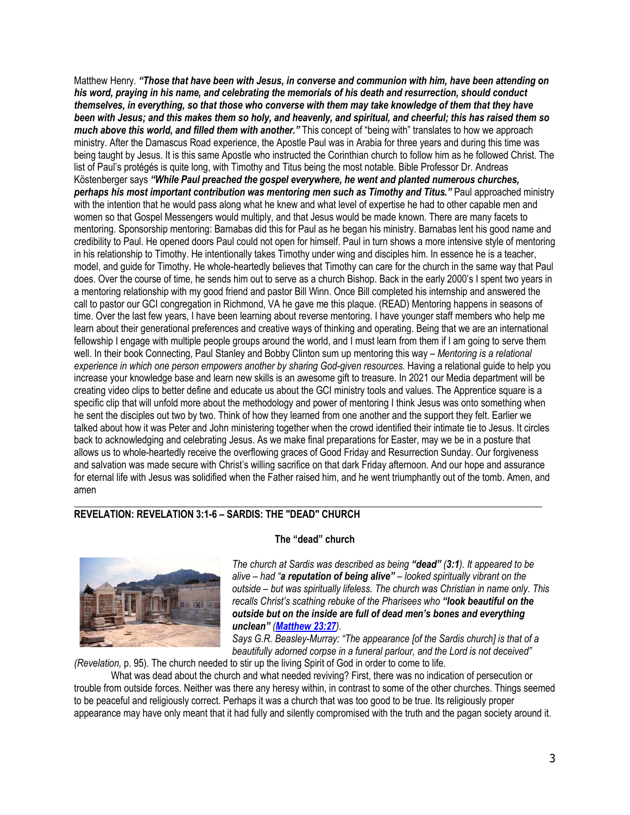Matthew Henry. *"Those that have been with Jesus, in converse and communion with him, have been attending on his word, praying in his name, and celebrating the memorials of his death and resurrection, should conduct themselves, in everything, so that those who converse with them may take knowledge of them that they have been with Jesus; and this makes them so holy, and heavenly, and spiritual, and cheerful; this has raised them so much above this world, and filled them with another."* This concept of "being with" translates to how we approach ministry. After the Damascus Road experience, the Apostle Paul was in Arabia for three years and during this time was being taught by Jesus. It is this same Apostle who instructed the Corinthian church to follow him as he followed Christ. The list of Paul's protégés is quite long, with Timothy and Titus being the most notable. Bible Professor Dr. Andreas Köstenberger says *"While Paul preached the gospel everywhere, he went and planted numerous churches, perhaps his most important contribution was mentoring men such as Timothy and Titus."* Paul approached ministry with the intention that he would pass along what he knew and what level of expertise he had to other capable men and women so that Gospel Messengers would multiply, and that Jesus would be made known. There are many facets to mentoring. Sponsorship mentoring: Barnabas did this for Paul as he began his ministry. Barnabas lent his good name and credibility to Paul. He opened doors Paul could not open for himself. Paul in turn shows a more intensive style of mentoring in his relationship to Timothy. He intentionally takes Timothy under wing and disciples him. In essence he is a teacher, model, and guide for Timothy. He whole-heartedly believes that Timothy can care for the church in the same way that Paul does. Over the course of time, he sends him out to serve as a church Bishop. Back in the early 2000's I spent two years in a mentoring relationship with my good friend and pastor Bill Winn. Once Bill completed his internship and answered the call to pastor our GCI congregation in Richmond, VA he gave me this plaque. (READ) Mentoring happens in seasons of time. Over the last few years, I have been learning about reverse mentoring. I have younger staff members who help me learn about their generational preferences and creative ways of thinking and operating. Being that we are an international fellowship I engage with multiple people groups around the world, and I must learn from them if I am going to serve them well. In their book Connecting, Paul Stanley and Bobby Clinton sum up mentoring this way – *Mentoring is a relational experience in which one person empowers another by sharing God-given resources.* Having a relational guide to help you increase your knowledge base and learn new skills is an awesome gift to treasure. In 2021 our Media department will be creating video clips to better define and educate us about the GCI ministry tools and values. The Apprentice square is a specific clip that will unfold more about the methodology and power of mentoring I think Jesus was onto something when he sent the disciples out two by two. Think of how they learned from one another and the support they felt. Earlier we talked about how it was Peter and John ministering together when the crowd identified their intimate tie to Jesus. It circles back to acknowledging and celebrating Jesus. As we make final preparations for Easter, may we be in a posture that allows us to whole-heartedly receive the overflowing graces of Good Friday and Resurrection Sunday. Our forgiveness and salvation was made secure with Christ's willing sacrifice on that dark Friday afternoon. And our hope and assurance for eternal life with Jesus was solidified when the Father raised him, and he went triumphantly out of the tomb. Amen, and amen

## **REVELATION: REVELATION 3:1-6 – SARDIS: THE "DEAD" CHURCH**



## **The "dead" church**

\_\_\_\_\_\_\_\_\_\_\_\_\_\_\_\_\_\_\_\_\_\_\_\_\_\_\_\_\_\_\_\_\_\_\_\_\_\_\_\_\_\_\_\_\_\_\_\_\_\_\_\_\_\_\_\_\_\_\_\_\_\_\_\_\_\_\_\_\_\_\_\_\_\_\_\_\_\_\_\_\_\_\_\_\_\_\_\_\_\_\_\_\_\_\_

*The church at Sardis was described as being "dead" (3:1). It appeared to be alive – had "a reputation of being alive" – looked spiritually vibrant on the outside – but was spiritually lifeless. The church was Christian in name only. This recalls Christ's scathing rebuke of the Pharisees who "look beautiful on the outside but on the inside are full of dead men's bones and everything unclean" ([Matthew 23:27](https://biblia.com/bible/niv/Matt%2023.27)).*

*Says G.R. Beasley-Murray: "The appearance [of the Sardis church] is that of a*  beautifully adorned corpse in a funeral parlour, and the Lord is not deceived"

*(Revelation,* p. 95). The church needed to stir up the living Spirit of God in order to come to life.

What was dead about the church and what needed reviving? First, there was no indication of persecution or trouble from outside forces. Neither was there any heresy within, in contrast to some of the other churches. Things seemed to be peaceful and religiously correct. Perhaps it was a church that was too good to be true. Its religiously proper appearance may have only meant that it had fully and silently compromised with the truth and the pagan society around it.